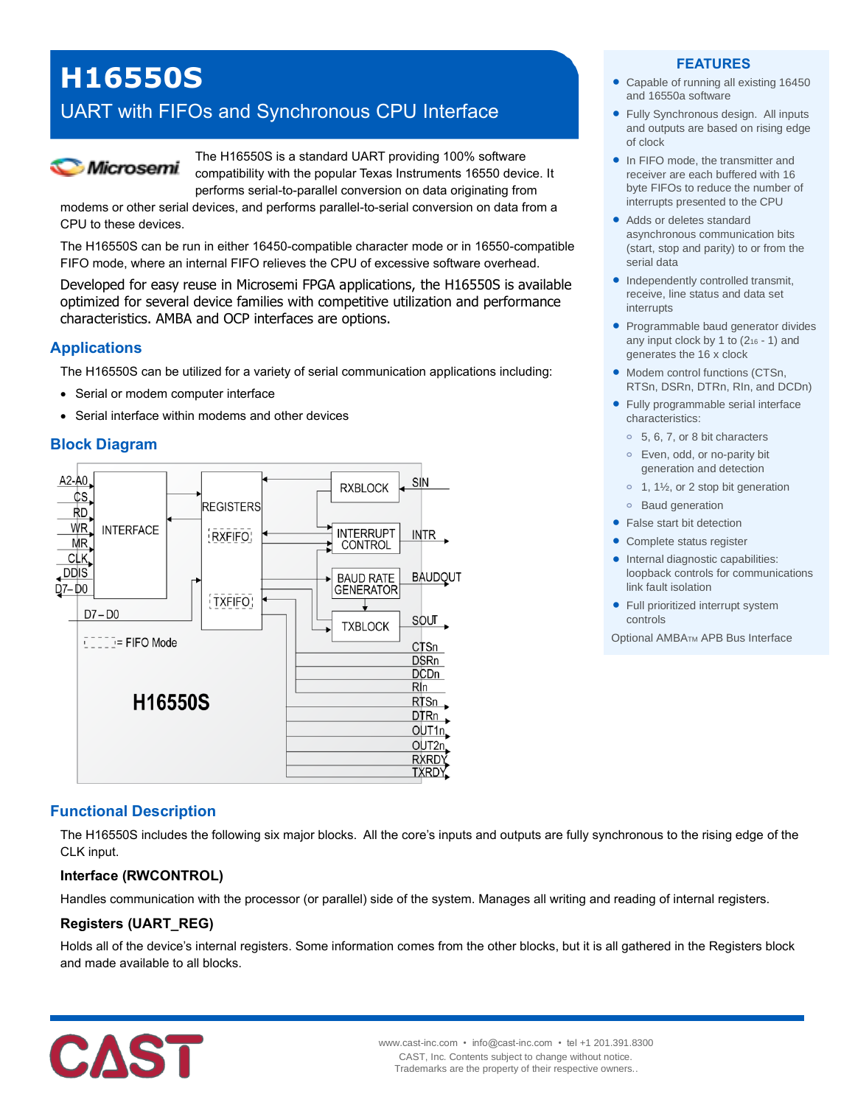# **H16550S**

# UART with FIFOs and Synchronous CPU Interface



The H16550S is a standard UART providing 100% software compatibility with the popular Texas Instruments 16550 device. It performs serial-to-parallel conversion on data originating from

modems or other serial devices, and performs parallel-to-serial conversion on data from a CPU to these devices.

The H16550S can be run in either 16450-compatible character mode or in 16550-compatible FIFO mode, where an internal FIFO relieves the CPU of excessive software overhead.

Developed for easy reuse in Microsemi FPGA applications, the H16550S is available optimized for several device families with competitive utilization and performance characteristics. AMBA and OCP interfaces are options.

#### **Applications**

The H16550S can be utilized for a variety of serial communication applications including:

- Serial or modem computer interface
- Serial interface within modems and other devices

# **Block Diagram**



# **Functional Description**

The H16550S includes the following six major blocks. All the core's inputs and outputs are fully synchronous to the rising edge of the CLK input.

# **Interface (RWCONTROL)**

Handles communication with the processor (or parallel) side of the system. Manages all writing and reading of internal registers.

# **Registers (UART\_REG)**

Holds all of the device's internal registers. Some information comes from the other blocks, but it is all gathered in the Registers block and made available to all blocks.



#### **FEATURES**

- Capable of running all existing 16450 and 16550a software
- Fully Synchronous design. All inputs and outputs are based on rising edge of clock
- In FIFO mode, the transmitter and receiver are each buffered with 16 byte FIFOs to reduce the number of interrupts presented to the CPU
- Adds or deletes standard asynchronous communication bits (start, stop and parity) to or from the serial data
- Independently controlled transmit, receive, line status and data set interrupts
- Programmable baud generator divides any input clock by 1 to  $(2<sub>16</sub> - 1)$  and generates the 16 x clock
- Modem control functions (CTSn, RTSn, DSRn, DTRn, RIn, and DCDn)
- Fully programmable serial interface characteristics:
	- **o** 5, 6, 7, or 8 bit characters
	- **o** Even, odd, or no-parity bit generation and detection
	- **o** 1, 1½, or 2 stop bit generation
	- **o** Baud generation
- False start bit detection
- Complete status register
- Internal diagnostic capabilities: loopback controls for communications link fault isolation
- Full prioritized interrupt system controls

Optional AMBATM APB Bus Interface